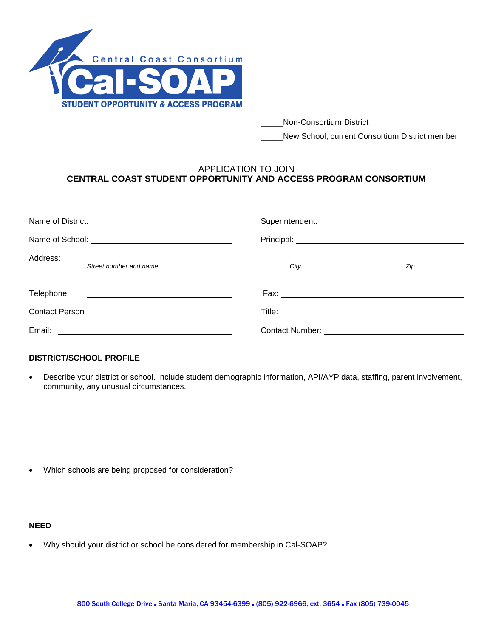

- \_\_\_\_\_Non-Consortium District
- \_\_\_\_\_New School, current Consortium District member

## APPLICATION TO JOIN **CENTRAL COAST STUDENT OPPORTUNITY AND ACCESS PROGRAM CONSORTIUM**

| Street number and name                               | City                   | Zip |  |  |  |
|------------------------------------------------------|------------------------|-----|--|--|--|
| Telephone: <u>__________________________________</u> |                        |     |  |  |  |
|                                                      |                        |     |  |  |  |
| Email:                                               | <b>Contact Number:</b> |     |  |  |  |

## **DISTRICT/SCHOOL PROFILE**

• Describe your district or school. Include student demographic information, API/AYP data, staffing, parent involvement, community, any unusual circumstances.

• Which schools are being proposed for consideration?

## **NEED**

• Why should your district or school be considered for membership in Cal-SOAP?